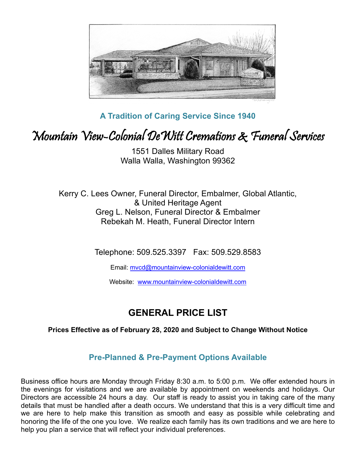

**A Tradition of Caring Service Since 1940**

## Mountain View-Colonial DeWitt Cremations & Funeral Services

1551 Dalles Military Road Walla Walla, Washington 99362

Kerry C. Lees Owner, Funeral Director, Embalmer, Global Atlantic, & United Heritage Agent Greg L. Nelson, Funeral Director & Embalmer Rebekah M. Heath, Funeral Director Intern

Telephone: 509.525.3397 Fax: 509.529.8583

Email: mvcd@mountainview-colonialdewitt.com

Website: www.mountainview-colonialdewitt.com

## **GENERAL PRICE LIST**

#### **Prices Effective as of February 28, 2020 and Subject to Change Without Notice**

#### **Pre-Planned & Pre-Payment Options Available**

Business office hours are Monday through Friday 8:30 a.m. to 5:00 p.m. We offer extended hours in the evenings for visitations and we are available by appointment on weekends and holidays. Our Directors are accessible 24 hours a day. Our staff is ready to assist you in taking care of the many details that must be handled after a death occurs. We understand that this is a very difficult time and we are here to help make this transition as smooth and easy as possible while celebrating and honoring the life of the one you love. We realize each family has its own traditions and we are here to help you plan a service that will reflect your individual preferences.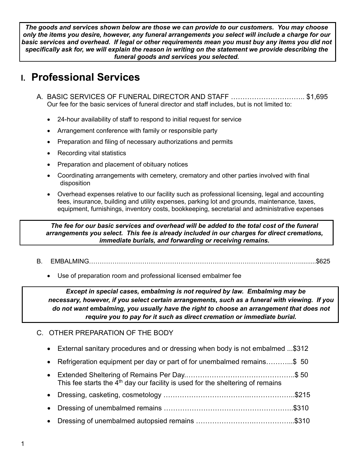*The goods and services shown below are those we can provide to our customers. You may choose only the items you desire, however, any funeral arrangements you select will include a charge for our basic services and overhead. If legal or other requirements mean you must buy any items you did not specifically ask for, we will explain the reason in writing on the statement we provide describing the funeral goods and services you selected.*

## **I. Professional Services**

- A. BASIC SERVICES OF FUNERAL DIRECTOR AND STAFF ………………………….. \$1,695 Our fee for the basic services of funeral director and staff includes, but is not limited to:
	- 24-hour availability of staff to respond to initial request for service
	- Arrangement conference with family or responsible party
	- Preparation and filing of necessary authorizations and permits
	- Recording vital statistics
	- Preparation and placement of obituary notices
	- Coordinating arrangements with cemetery, crematory and other parties involved with final disposition
	- Overhead expenses relative to our facility such as professional licensing, legal and accounting fees, insurance, building and utility expenses, parking lot and grounds, maintenance, taxes, equipment, furnishings, inventory costs, bookkeeping, secretarial and administrative expenses

*The fee for our basic services and overhead will be added to the total cost of the funeral arrangements you select. This fee is already included in our charges for direct cremations, immediate burials, and forwarding or receiving remains.*

- B. EMBALMING……………………………………………………………………………………….........\$625
	- Use of preparation room and professional licensed embalmer fee

*Except in special cases, embalming is not required by law. Embalming may be necessary, however, if you select certain arrangements, such as a funeral with viewing. If you do not want embalming, you usually have the right to choose an arrangement that does not require you to pay for it such as direct cremation or immediate burial.* 

#### C. OTHER PREPARATION OF THE BODY

- External sanitary procedures and or dressing when body is not embalmed ...\$312
- Refrigeration equipment per day or part of for unembalmed remains…………\$ 50
- Extended Sheltering of Remains Per Day.………………………………………..\$ 50 This fee starts the  $4<sup>th</sup>$  day our facility is used for the sheltering of remains
- Dressing, casketing, cosmetology ……………………………….………………..\$215
- Dressing of unembalmed remains ………………………………………………..\$310
- Dressing of unembalmed autopsied remains …………………….……………...\$310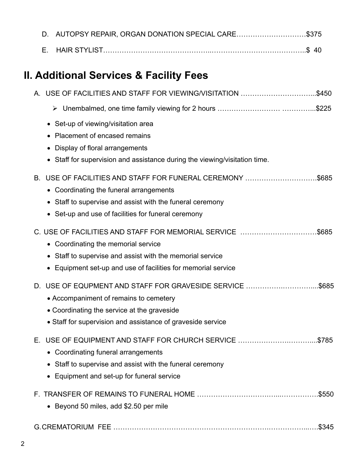| D. | AUTOPSY REPAIR, ORGAN DONATION SPECIAL CARE\$375                         |       |
|----|--------------------------------------------------------------------------|-------|
| Е. |                                                                          |       |
|    | II. Additional Services & Facility Fees                                  |       |
|    | A. USE OF FACILITIES AND STAFF FOR VIEWING/VISITATION \$450              |       |
|    |                                                                          |       |
|    | Set-up of viewing/visitation area                                        |       |
|    | Placement of encased remains                                             |       |
|    | Display of floral arrangements                                           |       |
|    | Staff for supervision and assistance during the viewing/visitation time. |       |
| В. | USE OF FACILITIES AND STAFF FOR FUNERAL CEREMONY \$685                   |       |
|    | • Coordinating the funeral arrangements                                  |       |
|    | Staff to supervise and assist with the funeral ceremony                  |       |
|    | Set-up and use of facilities for funeral ceremony                        |       |
|    | C. USE OF FACILITIES AND STAFF FOR MEMORIAL SERVICE \$685                |       |
|    | • Coordinating the memorial service                                      |       |
|    | Staff to supervise and assist with the memorial service                  |       |
|    | Equipment set-up and use of facilities for memorial service              |       |
|    | D. USE OF EQUPMENT AND STAFF FOR GRAVESIDE SERVICE                       | \$685 |
|    | • Accompaniment of remains to cemetery                                   |       |
|    | • Coordinating the service at the graveside                              |       |
|    | • Staff for supervision and assistance of graveside service              |       |
| Е. | USE OF EQUIPMENT AND STAFF FOR CHURCH SERVICE \$785                      |       |
|    | • Coordinating funeral arrangements                                      |       |
|    | Staff to supervise and assist with the funeral ceremony                  |       |
|    | Equipment and set-up for funeral service                                 |       |
|    |                                                                          |       |
|    | • Beyond 50 miles, add \$2.50 per mile                                   |       |
|    |                                                                          | \$345 |
|    |                                                                          |       |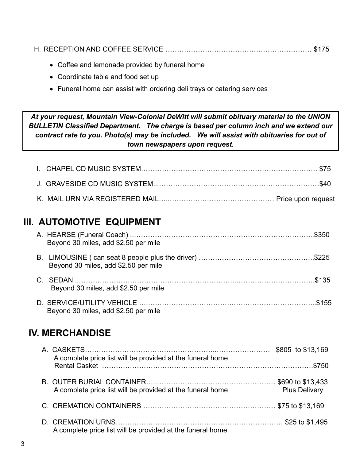|--|

- Coffee and lemonade provided by funeral home
- Coordinate table and food set up
- Funeral home can assist with ordering deli trays or catering services

*At your request, Mountain View-Colonial DeWitt will submit obituary material to the UNION BULLETIN Classified Department. The charge is based per column inch and we extend our contract rate to you. Photo(s) may be included. We will assist with obituaries for out of town newspapers upon request.*

### **III. AUTOMOTIVE EQUIPMENT**

| Beyond 30 miles, add \$2.50 per mile |  |
|--------------------------------------|--|
| Beyond 30 miles, add \$2.50 per mile |  |
| Beyond 30 miles, add \$2.50 per mile |  |
| Beyond 30 miles, add \$2.50 per mile |  |

## **IV. MERCHANDISE**

| A complete price list will be provided at the funeral home |                      |
|------------------------------------------------------------|----------------------|
|                                                            |                      |
| A complete price list will be provided at the funeral home | <b>Plus Delivery</b> |
|                                                            |                      |
| A complete price list will be provided at the funeral home |                      |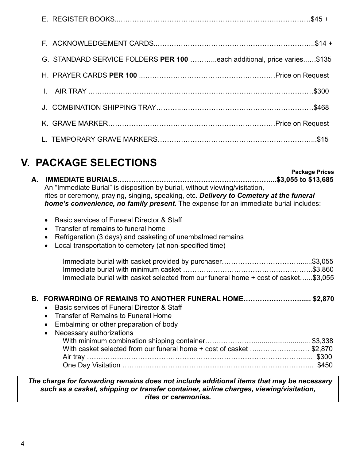| G. STANDARD SERVICE FOLDERS PER 100 each additional, price varies\$135 |  |
|------------------------------------------------------------------------|--|
|                                                                        |  |
|                                                                        |  |
|                                                                        |  |
|                                                                        |  |
|                                                                        |  |

# **V. PACKAGE SELECTIONS**

**A. IMMEDIATE BURIALS…………………………………………………………...\$3,055 to \$13,685** An "Immediate Burial" is disposition by burial, without viewing/visitation, rites or ceremony, praying, singing, speaking, etc. *Delivery to Cemetery at the funeral home's convenience, no family present***.** The expense for an immediate burial includes:

- Basic services of Funeral Director & Staff
- Transfer of remains to funeral home
- Refrigeration (3 days) and casketing of unembalmed remains
- Local transportation to cemetery (at non-specified time)

| Immediate burial with casket selected from our funeral home + cost of casket\$3,055 |  |
|-------------------------------------------------------------------------------------|--|

#### **B. FORWARDING OF REMAINS TO ANOTHER FUNERAL HOME……………………...... \$2,870**

- Basic services of Funeral Director & Staff
- Transfer of Remains to Funeral Home
- Embalming or other preparation of body

| • Necessary authorizations                                          |  |
|---------------------------------------------------------------------|--|
|                                                                     |  |
| With casket selected from our funeral home + cost of casket \$2,870 |  |
|                                                                     |  |
|                                                                     |  |

#### *The charge for forwarding remains does not include additional items that may be necessary such as a casket, shipping or transfer container, airline charges, viewing/visitation, rites or ceremonies.*